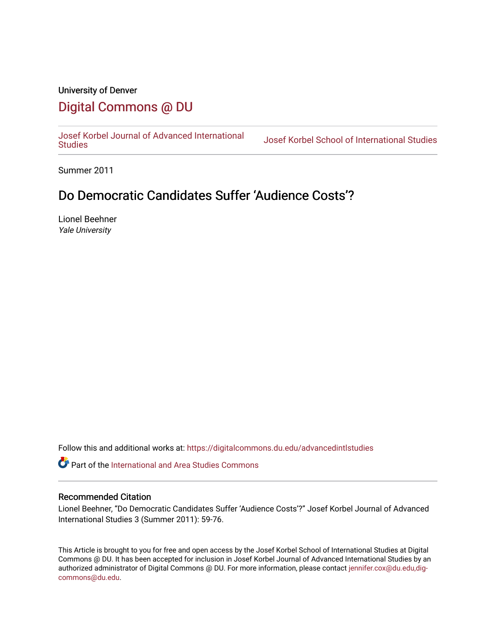### University of Denver

## [Digital Commons @ DU](https://digitalcommons.du.edu/)

[Josef Korbel Journal of Advanced International](https://digitalcommons.du.edu/advancedintlstudies) 

Josef Korbel School of International Studies

Summer 2011

## Do Democratic Candidates Suffer 'Audience Costs'?

Lionel Beehner Yale University

Follow this and additional works at: [https://digitalcommons.du.edu/advancedintlstudies](https://digitalcommons.du.edu/advancedintlstudies?utm_source=digitalcommons.du.edu%2Fadvancedintlstudies%2F13&utm_medium=PDF&utm_campaign=PDFCoverPages)

Part of the [International and Area Studies Commons](http://network.bepress.com/hgg/discipline/360?utm_source=digitalcommons.du.edu%2Fadvancedintlstudies%2F13&utm_medium=PDF&utm_campaign=PDFCoverPages) 

#### Recommended Citation

Lionel Beehner, "Do Democratic Candidates Suffer 'Audience Costs'?" Josef Korbel Journal of Advanced International Studies 3 (Summer 2011): 59-76.

This Article is brought to you for free and open access by the Josef Korbel School of International Studies at Digital Commons @ DU. It has been accepted for inclusion in Josef Korbel Journal of Advanced International Studies by an authorized administrator of Digital Commons @ DU. For more information, please contact [jennifer.cox@du.edu,dig](mailto:jennifer.cox@du.edu,dig-commons@du.edu)[commons@du.edu.](mailto:jennifer.cox@du.edu,dig-commons@du.edu)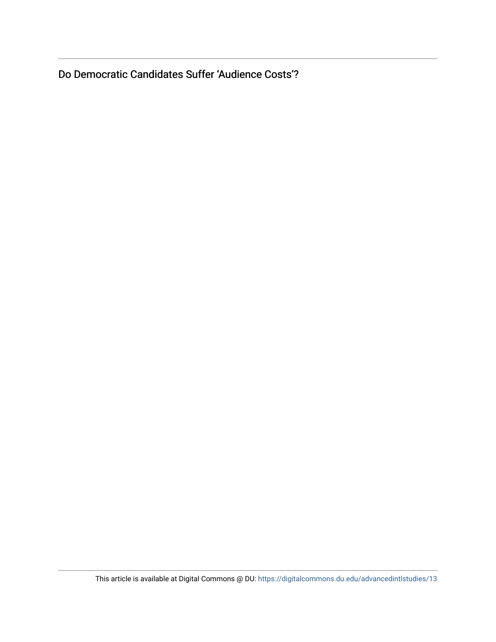Do Democratic Candidates Suffer 'Audience Costs'?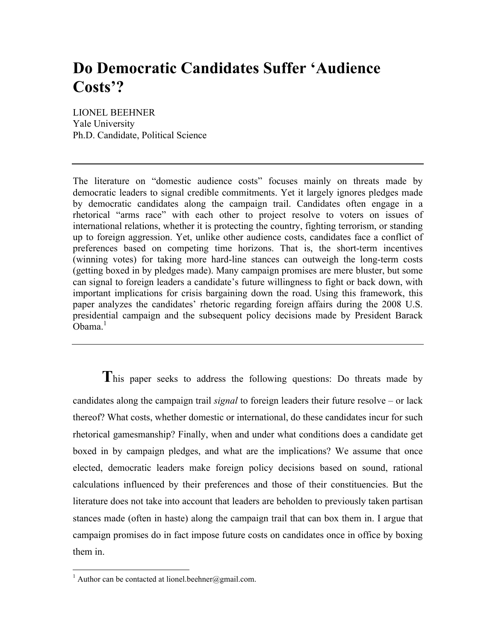# **Do Democratic Candidates Suffer 'Audience Costs'?**

LIONEL BEEHNER Yale University Ph.D. Candidate, Political Science

The literature on "domestic audience costs" focuses mainly on threats made by democratic leaders to signal credible commitments. Yet it largely ignores pledges made by democratic candidates along the campaign trail. Candidates often engage in a rhetorical "arms race" with each other to project resolve to voters on issues of international relations, whether it is protecting the country, fighting terrorism, or standing up to foreign aggression. Yet, unlike other audience costs, candidates face a conflict of preferences based on competing time horizons. That is, the short-term incentives (winning votes) for taking more hard-line stances can outweigh the long-term costs (getting boxed in by pledges made). Many campaign promises are mere bluster, but some can signal to foreign leaders a candidate's future willingness to fight or back down, with important implications for crisis bargaining down the road. Using this framework, this paper analyzes the candidates' rhetoric regarding foreign affairs during the 2008 U.S. presidential campaign and the subsequent policy decisions made by President Barack  $Obama.<sup>1</sup>$ 

This paper seeks to address the following questions: Do threats made by candidates along the campaign trail *signal* to foreign leaders their future resolve – or lack thereof? What costs, whether domestic or international, do these candidates incur for such rhetorical gamesmanship? Finally, when and under what conditions does a candidate get boxed in by campaign pledges, and what are the implications? We assume that once elected, democratic leaders make foreign policy decisions based on sound, rational calculations influenced by their preferences and those of their constituencies. But the literature does not take into account that leaders are beholden to previously taken partisan stances made (often in haste) along the campaign trail that can box them in. I argue that campaign promises do in fact impose future costs on candidates once in office by boxing them in.

 $\frac{1}{1}$ <sup>1</sup> Author can be contacted at lionel.beehner@gmail.com.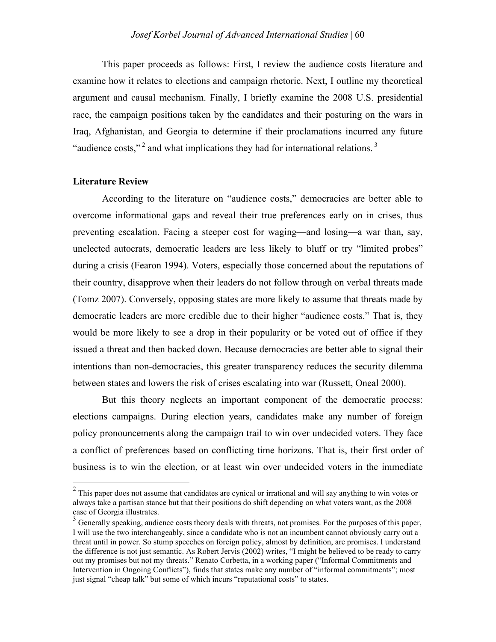This paper proceeds as follows: First, I review the audience costs literature and examine how it relates to elections and campaign rhetoric. Next, I outline my theoretical argument and causal mechanism. Finally, I briefly examine the 2008 U.S. presidential race, the campaign positions taken by the candidates and their posturing on the wars in Iraq, Afghanistan, and Georgia to determine if their proclamations incurred any future "audience costs,"<sup>2</sup> and what implications they had for international relations.<sup>3</sup>

#### **Literature Review**

According to the literature on "audience costs," democracies are better able to overcome informational gaps and reveal their true preferences early on in crises, thus preventing escalation. Facing a steeper cost for waging—and losing—a war than, say, unelected autocrats, democratic leaders are less likely to bluff or try "limited probes" during a crisis (Fearon 1994). Voters, especially those concerned about the reputations of their country, disapprove when their leaders do not follow through on verbal threats made (Tomz 2007). Conversely, opposing states are more likely to assume that threats made by democratic leaders are more credible due to their higher "audience costs." That is, they would be more likely to see a drop in their popularity or be voted out of office if they issued a threat and then backed down. Because democracies are better able to signal their intentions than non-democracies, this greater transparency reduces the security dilemma between states and lowers the risk of crises escalating into war (Russett, Oneal 2000).

But this theory neglects an important component of the democratic process: elections campaigns. During election years, candidates make any number of foreign policy pronouncements along the campaign trail to win over undecided voters. They face a conflict of preferences based on conflicting time horizons. That is, their first order of business is to win the election, or at least win over undecided voters in the immediate

<sup>&</sup>lt;sup>2</sup> This paper does not assume that candidates are cynical or irrational and will say anything to win votes or always take a partisan stance but that their positions do shift depending on what voters want, as the 2008 case of Georgia illustrates.

<sup>&</sup>lt;sup>3</sup> Generally speaking, audience costs theory deals with threats, not promises. For the purposes of this paper, I will use the two interchangeably, since a candidate who is not an incumbent cannot obviously carry out a threat until in power. So stump speeches on foreign policy, almost by definition, are promises. I understand the difference is not just semantic. As Robert Jervis (2002) writes, "I might be believed to be ready to carry out my promises but not my threats." Renato Corbetta, in a working paper ("Informal Commitments and Intervention in Ongoing Conflicts"), finds that states make any number of "informal commitments"; most just signal "cheap talk" but some of which incurs "reputational costs" to states.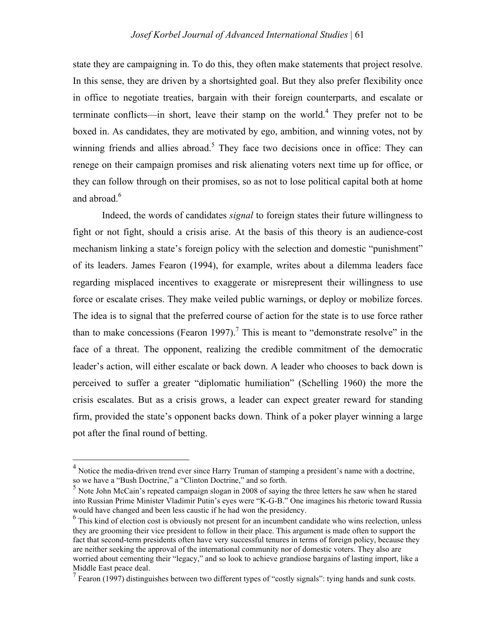state they are campaigning in. To do this, they often make statements that project resolve. In this sense, they are driven by a shortsighted goal. But they also prefer flexibility once in office to negotiate treaties, bargain with their foreign counterparts, and escalate or terminate conflicts—in short, leave their stamp on the world.<sup>4</sup> They prefer not to be boxed in. As candidates, they are motivated by ego, ambition, and winning votes, not by winning friends and allies abroad.<sup>5</sup> They face two decisions once in office: They can renege on their campaign promises and risk alienating voters next time up for office, or they can follow through on their promises, so as not to lose political capital both at home and abroad.<sup>6</sup>

Indeed, the words of candidates *signal* to foreign states their future willingness to fight or not fight, should a crisis arise. At the basis of this theory is an audience-cost mechanism linking a state's foreign policy with the selection and domestic "punishment" of its leaders. James Fearon (1994), for example, writes about a dilemma leaders face regarding misplaced incentives to exaggerate or misrepresent their willingness to use force or escalate crises. They make veiled public warnings, or deploy or mobilize forces. The idea is to signal that the preferred course of action for the state is to use force rather than to make concessions (Fearon 1997).<sup>7</sup> This is meant to "demonstrate resolve" in the face of a threat. The opponent, realizing the credible commitment of the democratic leader's action, will either escalate or back down. A leader who chooses to back down is perceived to suffer a greater "diplomatic humiliation" (Schelling 1960) the more the crisis escalates. But as a crisis grows, a leader can expect greater reward for standing firm, provided the state's opponent backs down. Think of a poker player winning a large pot after the final round of betting.

 <sup>4</sup> Notice the media-driven trend ever since Harry Truman of stamping a president's name with a doctrine, so we have a "Bush Doctrine," a "Clinton Doctrine," and so forth.

 $<sup>5</sup>$  Note John McCain's repeated campaign slogan in 2008 of saying the three letters he saw when he stared</sup> into Russian Prime Minister Vladimir Putin's eyes were "K-G-B." One imagines his rhetoric toward Russia would have changed and been less caustic if he had won the presidency.

<sup>&</sup>lt;sup>6</sup> This kind of election cost is obviously not present for an incumbent candidate who wins reelection, unless they are grooming their vice president to follow in their place. This argument is made often to support the fact that second-term presidents often have very successful tenures in terms of foreign policy, because they are neither seeking the approval of the international community nor of domestic voters. They also are worried about cementing their "legacy," and so look to achieve grandiose bargains of lasting import, like a Middle East peace deal.

 $^7$  Fearon (1997) distinguishes between two different types of "costly signals": tying hands and sunk costs.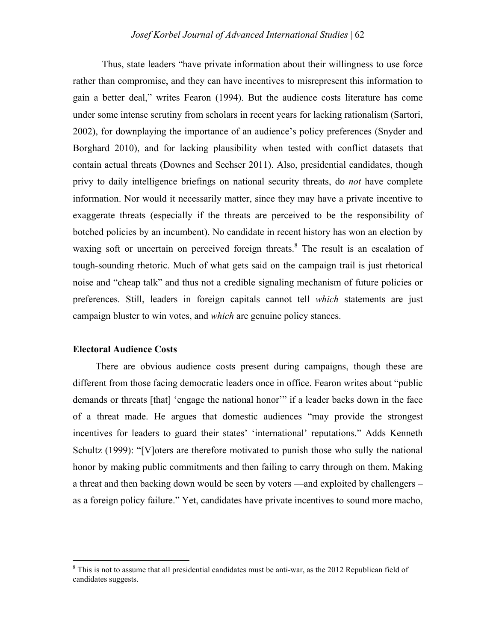#### *Josef Korbel Journal of Advanced International Studies* | 62

Thus, state leaders "have private information about their willingness to use force rather than compromise, and they can have incentives to misrepresent this information to gain a better deal," writes Fearon (1994). But the audience costs literature has come under some intense scrutiny from scholars in recent years for lacking rationalism (Sartori, 2002), for downplaying the importance of an audience's policy preferences (Snyder and Borghard 2010), and for lacking plausibility when tested with conflict datasets that contain actual threats (Downes and Sechser 2011). Also, presidential candidates, though privy to daily intelligence briefings on national security threats, do *not* have complete information. Nor would it necessarily matter, since they may have a private incentive to exaggerate threats (especially if the threats are perceived to be the responsibility of botched policies by an incumbent). No candidate in recent history has won an election by waxing soft or uncertain on perceived foreign threats.<sup>8</sup> The result is an escalation of tough-sounding rhetoric. Much of what gets said on the campaign trail is just rhetorical noise and "cheap talk" and thus not a credible signaling mechanism of future policies or preferences. Still, leaders in foreign capitals cannot tell *which* statements are just campaign bluster to win votes, and *which* are genuine policy stances.

#### **Electoral Audience Costs**

There are obvious audience costs present during campaigns, though these are different from those facing democratic leaders once in office. Fearon writes about "public demands or threats [that] 'engage the national honor'" if a leader backs down in the face of a threat made. He argues that domestic audiences "may provide the strongest incentives for leaders to guard their states' 'international' reputations." Adds Kenneth Schultz (1999): "[V]oters are therefore motivated to punish those who sully the national honor by making public commitments and then failing to carry through on them. Making a threat and then backing down would be seen by voters —and exploited by challengers – as a foreign policy failure." Yet, candidates have private incentives to sound more macho,

 $\frac{1}{8}$  $8$  This is not to assume that all presidential candidates must be anti-war, as the 2012 Republican field of candidates suggests.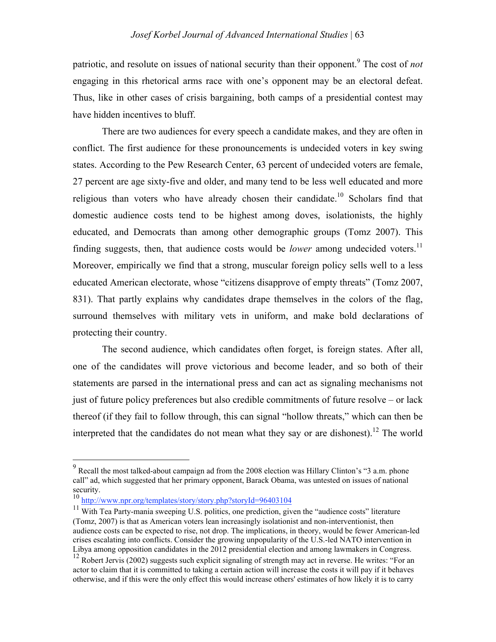patriotic, and resolute on issues of national security than their opponent.<sup>9</sup> The cost of *not* engaging in this rhetorical arms race with one's opponent may be an electoral defeat. Thus, like in other cases of crisis bargaining, both camps of a presidential contest may have hidden incentives to bluff.

There are two audiences for every speech a candidate makes, and they are often in conflict. The first audience for these pronouncements is undecided voters in key swing states. According to the Pew Research Center, 63 percent of undecided voters are female, 27 percent are age sixty-five and older, and many tend to be less well educated and more religious than voters who have already chosen their candidate.<sup>10</sup> Scholars find that domestic audience costs tend to be highest among doves, isolationists, the highly educated, and Democrats than among other demographic groups (Tomz 2007). This finding suggests, then, that audience costs would be *lower* among undecided voters.<sup>11</sup> Moreover, empirically we find that a strong, muscular foreign policy sells well to a less educated American electorate, whose "citizens disapprove of empty threats" (Tomz 2007, 831). That partly explains why candidates drape themselves in the colors of the flag, surround themselves with military vets in uniform, and make bold declarations of protecting their country.

The second audience, which candidates often forget, is foreign states. After all, one of the candidates will prove victorious and become leader, and so both of their statements are parsed in the international press and can act as signaling mechanisms not just of future policy preferences but also credible commitments of future resolve – or lack thereof (if they fail to follow through, this can signal "hollow threats," which can then be interpreted that the candidates do not mean what they say or are dishonest).<sup>12</sup> The world

<sup>-&</sup>lt;br>9 Recall the most talked-about campaign ad from the 2008 election was Hillary Clinton's "3 a.m. phone call" ad, which suggested that her primary opponent, Barack Obama, was untested on issues of national security.

<sup>10</sup> http://www.npr.org/templates/story/story.php?storyId=96403104

 $11$  With Tea Party-mania sweeping U.S. politics, one prediction, given the "audience costs" literature (Tomz, 2007) is that as American voters lean increasingly isolationist and non-interventionist, then audience costs can be expected to rise, not drop. The implications, in theory, would be fewer American-led crises escalating into conflicts. Consider the growing unpopularity of the U.S.-led NATO intervention in Libya among opposition candidates in the 2012 presidential election and among lawmakers in Congress.

<sup>&</sup>lt;sup>12</sup> Robert Jervis (2002) suggests such explicit signaling of strength may act in reverse. He writes: "For an actor to claim that it is committed to taking a certain action will increase the costs it will pay if it behaves otherwise, and if this were the only effect this would increase others' estimates of how likely it is to carry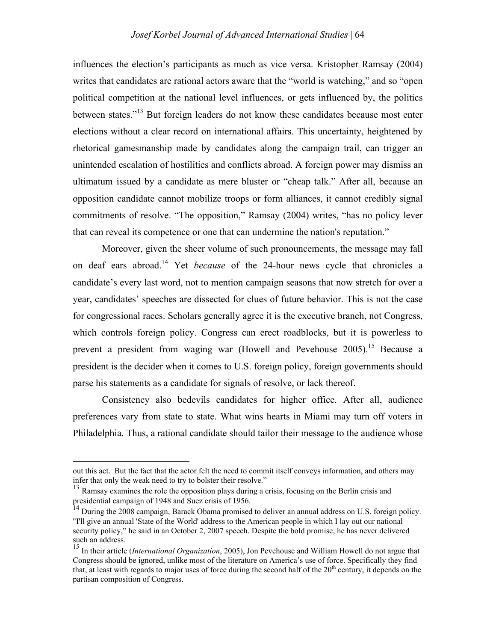influences the election's participants as much as vice versa. Kristopher Ramsay (2004) writes that candidates are rational actors aware that the "world is watching," and so "open political competition at the national level influences, or gets influenced by, the politics between states."13 But foreign leaders do not know these candidates because most enter elections without a clear record on international affairs. This uncertainty, heightened by rhetorical gamesmanship made by candidates along the campaign trail, can trigger an unintended escalation of hostilities and conflicts abroad. A foreign power may dismiss an ultimatum issued by a candidate as mere bluster or "cheap talk." After all, because an opposition candidate cannot mobilize troops or form alliances, it cannot credibly signal commitments of resolve. "The opposition," Ramsay (2004) writes, "has no policy lever that can reveal its competence or one that can undermine the nation's reputation."

Moreover, given the sheer volume of such pronouncements, the message may fall on deaf ears abroad.14 Yet *because* of the 24-hour news cycle that chronicles a candidate's every last word, not to mention campaign seasons that now stretch for over a year, candidates' speeches are dissected for clues of future behavior. This is not the case for congressional races. Scholars generally agree it is the executive branch, not Congress, which controls foreign policy. Congress can erect roadblocks, but it is powerless to prevent a president from waging war (Howell and Pevehouse  $2005$ ).<sup>15</sup> Because a president is the decider when it comes to U.S. foreign policy, foreign governments should parse his statements as a candidate for signals of resolve, or lack thereof.

Consistency also bedevils candidates for higher office. After all, audience preferences vary from state to state. What wins hearts in Miami may turn off voters in Philadelphia. Thus, a rational candidate should tailor their message to the audience whose

out this act. But the fact that the actor felt the need to commit itself conveys information, and others may infer that only the weak need to try to bolster their resolve."

<sup>&</sup>lt;sup>13</sup> Ramsay examines the role the opposition plays during a crisis, focusing on the Berlin crisis and presidential campaign of 1948 and Suez crisis of 1956.

<sup>&</sup>lt;sup>14</sup> During the 2008 campaign, Barack Obama promised to deliver an annual address on U.S. foreign policy. "I'll give an annual 'State of the World' address to the American people in which I lay out our national security policy," he said in an October 2, 2007 speech. Despite the bold promise, he has never delivered such an address.

<sup>15</sup> In their article (*International Organization*, 2005), Jon Pevehouse and William Howell do not argue that Congress should be ignored, unlike most of the literature on America's use of force. Specifically they find that, at least with regards to major uses of force during the second half of the  $20<sup>th</sup>$  century, it depends on the partisan composition of Congress.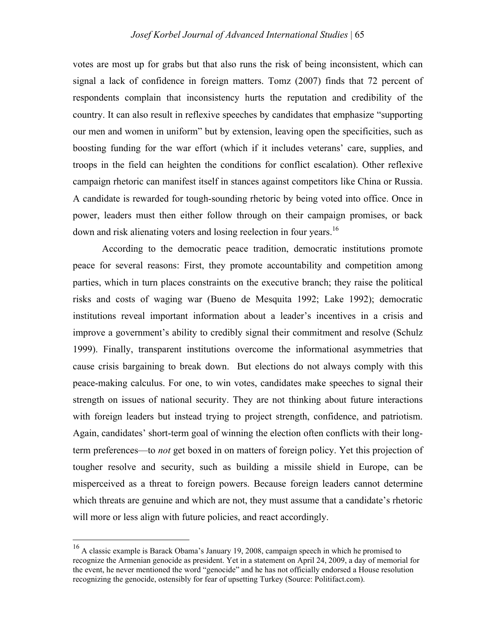votes are most up for grabs but that also runs the risk of being inconsistent, which can signal a lack of confidence in foreign matters. Tomz (2007) finds that 72 percent of respondents complain that inconsistency hurts the reputation and credibility of the country. It can also result in reflexive speeches by candidates that emphasize "supporting our men and women in uniform" but by extension, leaving open the specificities, such as boosting funding for the war effort (which if it includes veterans' care, supplies, and troops in the field can heighten the conditions for conflict escalation). Other reflexive campaign rhetoric can manifest itself in stances against competitors like China or Russia. A candidate is rewarded for tough-sounding rhetoric by being voted into office. Once in power, leaders must then either follow through on their campaign promises, or back down and risk alienating voters and losing reelection in four years.<sup>16</sup>

According to the democratic peace tradition, democratic institutions promote peace for several reasons: First, they promote accountability and competition among parties, which in turn places constraints on the executive branch; they raise the political risks and costs of waging war (Bueno de Mesquita 1992; Lake 1992); democratic institutions reveal important information about a leader's incentives in a crisis and improve a government's ability to credibly signal their commitment and resolve (Schulz 1999). Finally, transparent institutions overcome the informational asymmetries that cause crisis bargaining to break down. But elections do not always comply with this peace-making calculus. For one, to win votes, candidates make speeches to signal their strength on issues of national security. They are not thinking about future interactions with foreign leaders but instead trying to project strength, confidence, and patriotism. Again, candidates' short-term goal of winning the election often conflicts with their longterm preferences—to *not* get boxed in on matters of foreign policy. Yet this projection of tougher resolve and security, such as building a missile shield in Europe, can be misperceived as a threat to foreign powers. Because foreign leaders cannot determine which threats are genuine and which are not, they must assume that a candidate's rhetoric will more or less align with future policies, and react accordingly.

 <sup>16</sup> A classic example is Barack Obama's January 19, 2008, campaign speech in which he promised to recognize the Armenian genocide as president. Yet in a statement on April 24, 2009, a day of memorial for the event, he never mentioned the word "genocide" and he has not officially endorsed a House resolution recognizing the genocide, ostensibly for fear of upsetting Turkey (Source: Politifact.com).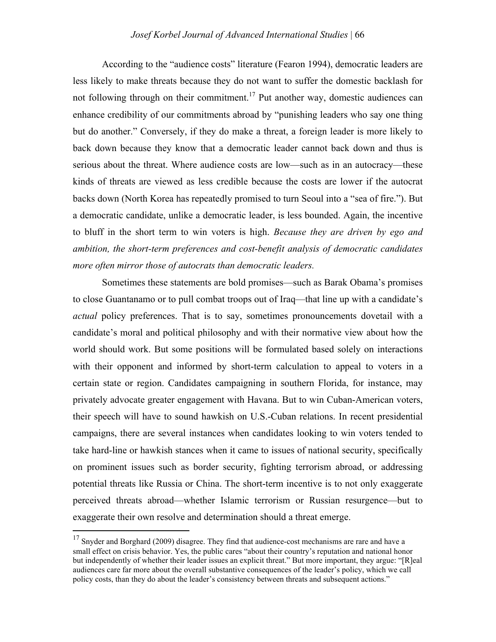According to the "audience costs" literature (Fearon 1994), democratic leaders are less likely to make threats because they do not want to suffer the domestic backlash for not following through on their commitment.<sup>17</sup> Put another way, domestic audiences can enhance credibility of our commitments abroad by "punishing leaders who say one thing but do another." Conversely, if they do make a threat, a foreign leader is more likely to back down because they know that a democratic leader cannot back down and thus is serious about the threat. Where audience costs are low—such as in an autocracy—these kinds of threats are viewed as less credible because the costs are lower if the autocrat backs down (North Korea has repeatedly promised to turn Seoul into a "sea of fire."). But a democratic candidate, unlike a democratic leader, is less bounded. Again, the incentive to bluff in the short term to win voters is high. *Because they are driven by ego and ambition, the short-term preferences and cost-benefit analysis of democratic candidates more often mirror those of autocrats than democratic leaders.*

Sometimes these statements are bold promises—such as Barak Obama's promises to close Guantanamo or to pull combat troops out of Iraq—that line up with a candidate's *actual* policy preferences. That is to say, sometimes pronouncements dovetail with a candidate's moral and political philosophy and with their normative view about how the world should work. But some positions will be formulated based solely on interactions with their opponent and informed by short-term calculation to appeal to voters in a certain state or region. Candidates campaigning in southern Florida, for instance, may privately advocate greater engagement with Havana. But to win Cuban-American voters, their speech will have to sound hawkish on U.S.-Cuban relations. In recent presidential campaigns, there are several instances when candidates looking to win voters tended to take hard-line or hawkish stances when it came to issues of national security, specifically on prominent issues such as border security, fighting terrorism abroad, or addressing potential threats like Russia or China. The short-term incentive is to not only exaggerate perceived threats abroad—whether Islamic terrorism or Russian resurgence—but to exaggerate their own resolve and determination should a threat emerge.

 $17$  Snyder and Borghard (2009) disagree. They find that audience-cost mechanisms are rare and have a small effect on crisis behavior. Yes, the public cares "about their country's reputation and national honor but independently of whether their leader issues an explicit threat." But more important, they argue: "[R]eal audiences care far more about the overall substantive consequences of the leader's policy, which we call policy costs, than they do about the leader's consistency between threats and subsequent actions."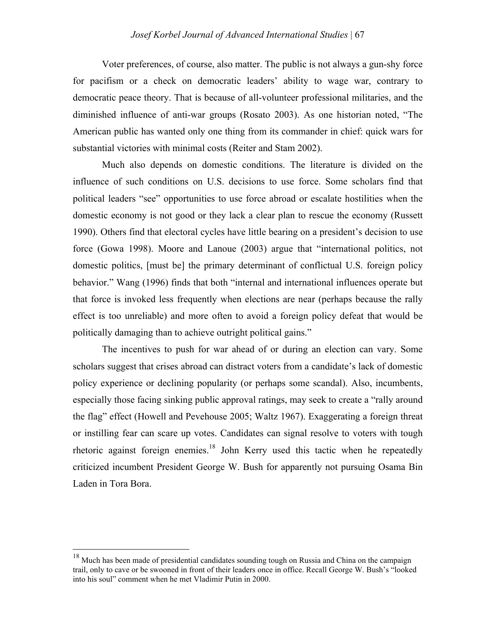Voter preferences, of course, also matter. The public is not always a gun-shy force for pacifism or a check on democratic leaders' ability to wage war, contrary to democratic peace theory. That is because of all-volunteer professional militaries, and the diminished influence of anti-war groups (Rosato 2003). As one historian noted, "The American public has wanted only one thing from its commander in chief: quick wars for substantial victories with minimal costs (Reiter and Stam 2002).

Much also depends on domestic conditions. The literature is divided on the influence of such conditions on U.S. decisions to use force. Some scholars find that political leaders "see" opportunities to use force abroad or escalate hostilities when the domestic economy is not good or they lack a clear plan to rescue the economy (Russett 1990). Others find that electoral cycles have little bearing on a president's decision to use force (Gowa 1998). Moore and Lanoue (2003) argue that "international politics, not domestic politics, [must be] the primary determinant of conflictual U.S. foreign policy behavior." Wang (1996) finds that both "internal and international influences operate but that force is invoked less frequently when elections are near (perhaps because the rally effect is too unreliable) and more often to avoid a foreign policy defeat that would be politically damaging than to achieve outright political gains."

The incentives to push for war ahead of or during an election can vary. Some scholars suggest that crises abroad can distract voters from a candidate's lack of domestic policy experience or declining popularity (or perhaps some scandal). Also, incumbents, especially those facing sinking public approval ratings, may seek to create a "rally around the flag" effect (Howell and Pevehouse 2005; Waltz 1967). Exaggerating a foreign threat or instilling fear can scare up votes. Candidates can signal resolve to voters with tough rhetoric against foreign enemies.<sup>18</sup> John Kerry used this tactic when he repeatedly criticized incumbent President George W. Bush for apparently not pursuing Osama Bin Laden in Tora Bora.

<sup>&</sup>lt;sup>18</sup> Much has been made of presidential candidates sounding tough on Russia and China on the campaign trail, only to cave or be swooned in front of their leaders once in office. Recall George W. Bush's "looked into his soul" comment when he met Vladimir Putin in 2000.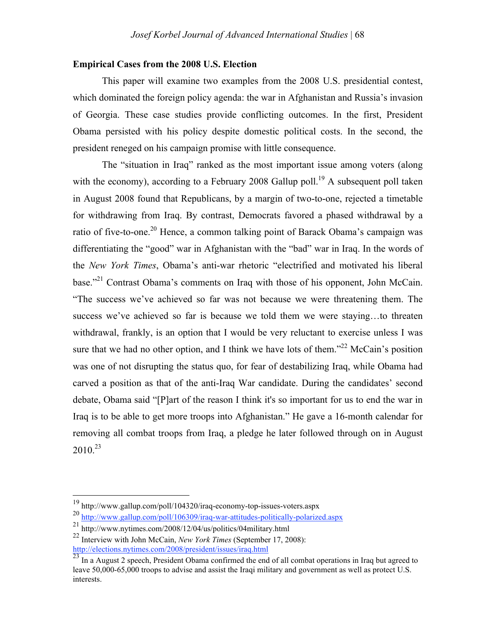#### **Empirical Cases from the 2008 U.S. Election**

This paper will examine two examples from the 2008 U.S. presidential contest, which dominated the foreign policy agenda: the war in Afghanistan and Russia's invasion of Georgia. These case studies provide conflicting outcomes. In the first, President Obama persisted with his policy despite domestic political costs. In the second, the president reneged on his campaign promise with little consequence.

The "situation in Iraq" ranked as the most important issue among voters (along with the economy), according to a February 2008 Gallup poll.<sup>19</sup> A subsequent poll taken in August 2008 found that Republicans, by a margin of two-to-one, rejected a timetable for withdrawing from Iraq. By contrast, Democrats favored a phased withdrawal by a ratio of five-to-one.<sup>20</sup> Hence, a common talking point of Barack Obama's campaign was differentiating the "good" war in Afghanistan with the "bad" war in Iraq. In the words of the *New York Times*, Obama's anti-war rhetoric "electrified and motivated his liberal base."21 Contrast Obama's comments on Iraq with those of his opponent, John McCain. "The success we've achieved so far was not because we were threatening them. The success we've achieved so far is because we told them we were staying…to threaten withdrawal, frankly, is an option that I would be very reluctant to exercise unless I was sure that we had no other option, and I think we have lots of them."<sup>22</sup> McCain's position was one of not disrupting the status quo, for fear of destabilizing Iraq, while Obama had carved a position as that of the anti-Iraq War candidate. During the candidates' second debate, Obama said "[P]art of the reason I think it's so important for us to end the war in Iraq is to be able to get more troops into Afghanistan." He gave a 16-month calendar for removing all combat troops from Iraq, a pledge he later followed through on in August  $2010^{23}$ 

 <sup>19</sup> http://www.gallup.com/poll/104320/iraq-economy-top-issues-voters.aspx

<sup>20</sup> http://www.gallup.com/poll/106309/iraq-war-attitudes-politically-polarized.aspx

<sup>21</sup> http://www.nytimes.com/2008/12/04/us/politics/04military.html

<sup>22</sup> Interview with John McCain, *New York Times* (September 17, 2008): http://elections.nytimes.com/2008/president/issues/iraq.html

<sup>&</sup>lt;sup>23</sup> In a August 2 speech, President Obama confirmed the end of all combat operations in Iraq but agreed to leave 50,000-65,000 troops to advise and assist the Iraqi military and government as well as protect U.S. interests.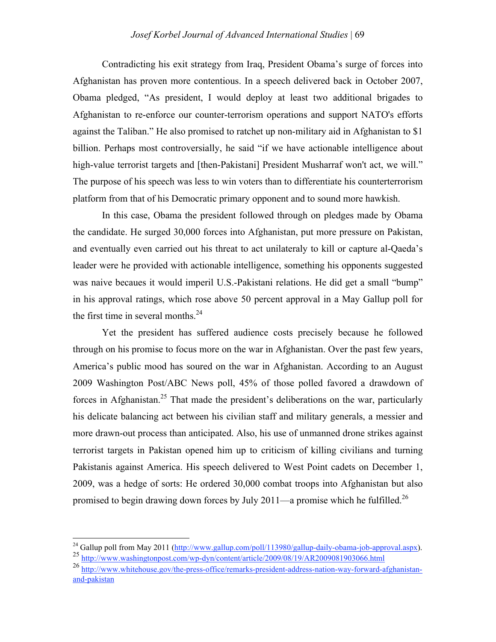Contradicting his exit strategy from Iraq, President Obama's surge of forces into Afghanistan has proven more contentious. In a speech delivered back in October 2007, Obama pledged, "As president, I would deploy at least two additional brigades to Afghanistan to re-enforce our counter-terrorism operations and support NATO's efforts against the Taliban." He also promised to ratchet up non-military aid in Afghanistan to \$1 billion. Perhaps most controversially, he said "if we have actionable intelligence about high-value terrorist targets and [then-Pakistani] President Musharraf won't act, we will." The purpose of his speech was less to win voters than to differentiate his counterterrorism platform from that of his Democratic primary opponent and to sound more hawkish.

In this case, Obama the president followed through on pledges made by Obama the candidate. He surged 30,000 forces into Afghanistan, put more pressure on Pakistan, and eventually even carried out his threat to act unilateraly to kill or capture al-Qaeda's leader were he provided with actionable intelligence, something his opponents suggested was naive becaues it would imperil U.S.-Pakistani relations. He did get a small "bump" in his approval ratings, which rose above 50 percent approval in a May Gallup poll for the first time in several months. $^{24}$ 

Yet the president has suffered audience costs precisely because he followed through on his promise to focus more on the war in Afghanistan. Over the past few years, America's public mood has soured on the war in Afghanistan. According to an August 2009 Washington Post/ABC News poll, 45% of those polled favored a drawdown of forces in Afghanistan.<sup>25</sup> That made the president's deliberations on the war, particularly his delicate balancing act between his civilian staff and military generals, a messier and more drawn-out process than anticipated. Also, his use of unmanned drone strikes against terrorist targets in Pakistan opened him up to criticism of killing civilians and turning Pakistanis against America. His speech delivered to West Point cadets on December 1, 2009, was a hedge of sorts: He ordered 30,000 combat troops into Afghanistan but also promised to begin drawing down forces by July 2011—a promise which he fulfilled.<sup>26</sup>

<sup>&</sup>lt;sup>24</sup> Gallup poll from May 2011 (http://www.gallup.com/poll/113980/gallup-daily-obama-job-approval.aspx). <sup>25</sup> http://www.washingtonpost.com/wp-dyn/content/article/2009/08/19/AR2009081903066.html

<sup>26</sup> http://www.whitehouse.gov/the-press-office/remarks-president-address-nation-way-forward-afghanistanand-pakistan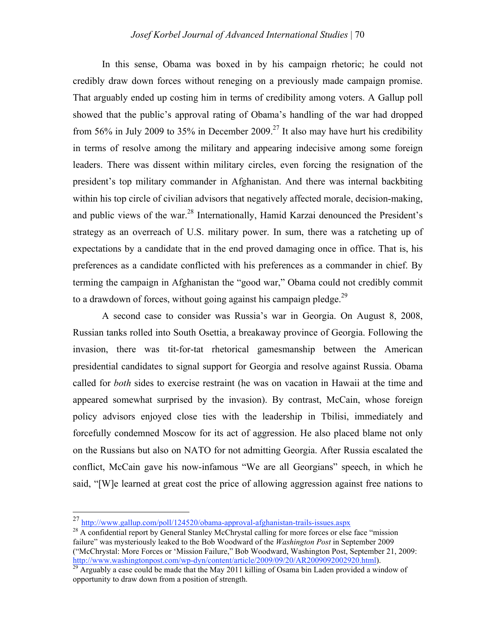#### *Josef Korbel Journal of Advanced International Studies* | 70

In this sense, Obama was boxed in by his campaign rhetoric; he could not credibly draw down forces without reneging on a previously made campaign promise. That arguably ended up costing him in terms of credibility among voters. A Gallup poll showed that the public's approval rating of Obama's handling of the war had dropped from 56% in July 2009 to 35% in December 2009.<sup>27</sup> It also may have hurt his credibility in terms of resolve among the military and appearing indecisive among some foreign leaders. There was dissent within military circles, even forcing the resignation of the president's top military commander in Afghanistan. And there was internal backbiting within his top circle of civilian advisors that negatively affected morale, decision-making, and public views of the war.<sup>28</sup> Internationally, Hamid Karzai denounced the President's strategy as an overreach of U.S. military power. In sum, there was a ratcheting up of expectations by a candidate that in the end proved damaging once in office. That is, his preferences as a candidate conflicted with his preferences as a commander in chief. By terming the campaign in Afghanistan the "good war," Obama could not credibly commit to a drawdown of forces, without going against his campaign pledge.<sup>29</sup>

A second case to consider was Russia's war in Georgia. On August 8, 2008, Russian tanks rolled into South Osettia, a breakaway province of Georgia. Following the invasion, there was tit-for-tat rhetorical gamesmanship between the American presidential candidates to signal support for Georgia and resolve against Russia. Obama called for *both* sides to exercise restraint (he was on vacation in Hawaii at the time and appeared somewhat surprised by the invasion). By contrast, McCain, whose foreign policy advisors enjoyed close ties with the leadership in Tbilisi, immediately and forcefully condemned Moscow for its act of aggression. He also placed blame not only on the Russians but also on NATO for not admitting Georgia. After Russia escalated the conflict, McCain gave his now-infamous "We are all Georgians" speech, in which he said, "[W]e learned at great cost the price of allowing aggression against free nations to

 <sup>27</sup> http://www.gallup.com/poll/124520/obama-approval-afghanistan-trails-issues.aspx

<sup>&</sup>lt;sup>28</sup> A confidential report by General Stanley McChrystal calling for more forces or else face "mission" failure" was mysteriously leaked to the Bob Woodward of the *Washington Post* in September 2009 ("McChrystal: More Forces or 'Mission Failure," Bob Woodward, Washington Post, September 21, 2009:<br>http://www.washingtonpost.com/wp-dyn/content/article/2009/09/20/AR2009092002920.html).

 $\frac{1}{29}$  Arguably a case could be made that the May 2011 killing of Osama bin Laden provided a window of opportunity to draw down from a position of strength.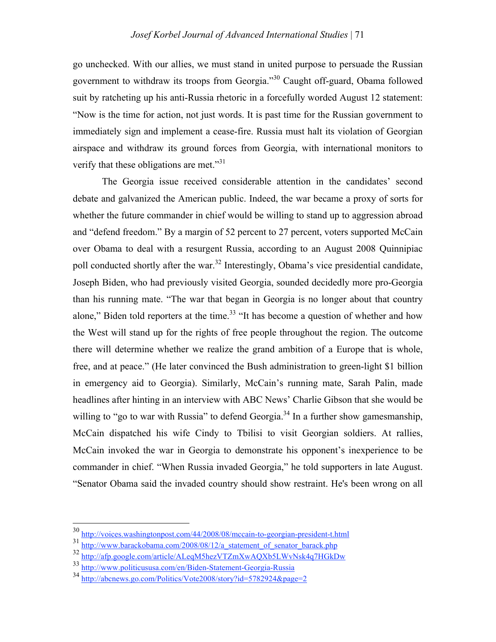go unchecked. With our allies, we must stand in united purpose to persuade the Russian government to withdraw its troops from Georgia."30 Caught off-guard, Obama followed suit by ratcheting up his anti-Russia rhetoric in a forcefully worded August 12 statement: "Now is the time for action, not just words. It is past time for the Russian government to immediately sign and implement a cease-fire. Russia must halt its violation of Georgian airspace and withdraw its ground forces from Georgia, with international monitors to verify that these obligations are met."<sup>31</sup>

The Georgia issue received considerable attention in the candidates' second debate and galvanized the American public. Indeed, the war became a proxy of sorts for whether the future commander in chief would be willing to stand up to aggression abroad and "defend freedom." By a margin of 52 percent to 27 percent, voters supported McCain over Obama to deal with a resurgent Russia, according to an August 2008 Quinnipiac poll conducted shortly after the war.<sup>32</sup> Interestingly, Obama's vice presidential candidate, Joseph Biden, who had previously visited Georgia, sounded decidedly more pro-Georgia than his running mate. "The war that began in Georgia is no longer about that country alone," Biden told reporters at the time. $33$  "It has become a question of whether and how the West will stand up for the rights of free people throughout the region. The outcome there will determine whether we realize the grand ambition of a Europe that is whole, free, and at peace." (He later convinced the Bush administration to green-light \$1 billion in emergency aid to Georgia). Similarly, McCain's running mate, Sarah Palin, made headlines after hinting in an interview with ABC News' Charlie Gibson that she would be willing to "go to war with Russia" to defend Georgia.<sup>34</sup> In a further show gamesmanship, McCain dispatched his wife Cindy to Tbilisi to visit Georgian soldiers. At rallies, McCain invoked the war in Georgia to demonstrate his opponent's inexperience to be commander in chief. "When Russia invaded Georgia," he told supporters in late August. "Senator Obama said the invaded country should show restraint. He's been wrong on all

 <sup>30</sup> http://voices.washingtonpost.com/44/2008/08/mccain-to-georgian-president-t.html

<sup>31</sup> http://www.barackobama.com/2008/08/12/a\_statement\_of\_senator\_barack.php

<sup>32</sup> http://afp.google.com/article/ALeqM5hezVTZmXwAQXb5LWvNsk4q7HGkDw

<sup>33</sup> http://www.politicususa.com/en/Biden-Statement-Georgia-Russia

<sup>34</sup> http://abcnews.go.com/Politics/Vote2008/story?id=5782924&page=2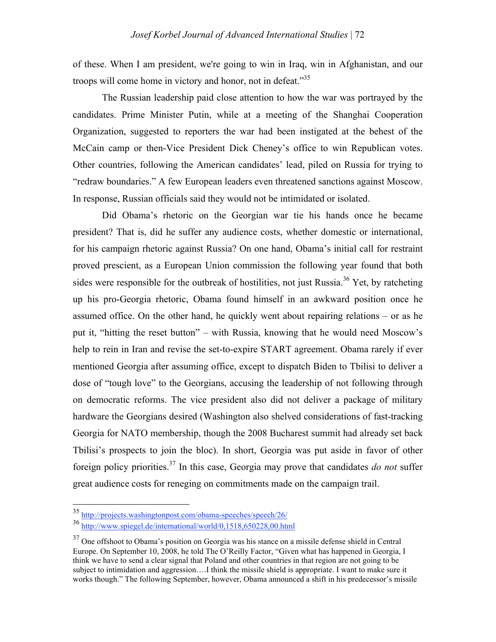of these. When I am president, we're going to win in Iraq, win in Afghanistan, and our troops will come home in victory and honor, not in defeat."<sup>35</sup>

The Russian leadership paid close attention to how the war was portrayed by the candidates. Prime Minister Putin, while at a meeting of the Shanghai Cooperation Organization, suggested to reporters the war had been instigated at the behest of the McCain camp or then-Vice President Dick Cheney's office to win Republican votes. Other countries, following the American candidates' lead, piled on Russia for trying to "redraw boundaries." A few European leaders even threatened sanctions against Moscow. In response, Russian officials said they would not be intimidated or isolated.

Did Obama's rhetoric on the Georgian war tie his hands once he became president? That is, did he suffer any audience costs, whether domestic or international, for his campaign rhetoric against Russia? On one hand, Obama's initial call for restraint proved prescient, as a European Union commission the following year found that both sides were responsible for the outbreak of hostilities, not just Russia.<sup>36</sup> Yet, by ratcheting up his pro-Georgia rhetoric, Obama found himself in an awkward position once he assumed office. On the other hand, he quickly went about repairing relations – or as he put it, "hitting the reset button" – with Russia, knowing that he would need Moscow's help to rein in Iran and revise the set-to-expire START agreement. Obama rarely if ever mentioned Georgia after assuming office, except to dispatch Biden to Tbilisi to deliver a dose of "tough love" to the Georgians, accusing the leadership of not following through on democratic reforms. The vice president also did not deliver a package of military hardware the Georgians desired (Washington also shelved considerations of fast-tracking Georgia for NATO membership, though the 2008 Bucharest summit had already set back Tbilisi's prospects to join the bloc). In short, Georgia was put aside in favor of other foreign policy priorities.37 In this case, Georgia may prove that candidates *do not* suffer great audience costs for reneging on commitments made on the campaign trail.

 <sup>35</sup> http://projects.washingtonpost.com/obama-speeches/speech/26/

<sup>36</sup> http://www.spiegel.de/international/world/0,1518,650228,00.html

 $37$  One offshoot to Obama's position on Georgia was his stance on a missile defense shield in Central Europe. On September 10, 2008, he told The O'Reilly Factor, "Given what has happened in Georgia, I think we have to send a clear signal that Poland and other countries in that region are not going to be subject to intimidation and aggression….I think the missile shield is appropriate. I want to make sure it works though." The following September, however, Obama announced a shift in his predecessor's missile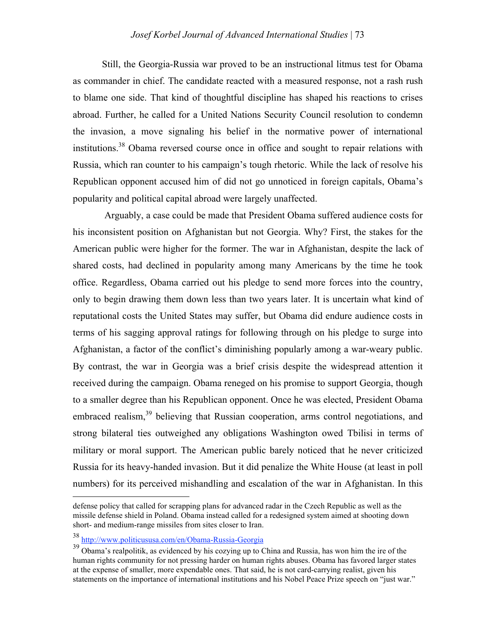Still, the Georgia-Russia war proved to be an instructional litmus test for Obama as commander in chief. The candidate reacted with a measured response, not a rash rush to blame one side. That kind of thoughtful discipline has shaped his reactions to crises abroad. Further, he called for a United Nations Security Council resolution to condemn the invasion, a move signaling his belief in the normative power of international institutions.38 Obama reversed course once in office and sought to repair relations with Russia, which ran counter to his campaign's tough rhetoric. While the lack of resolve his Republican opponent accused him of did not go unnoticed in foreign capitals, Obama's popularity and political capital abroad were largely unaffected.

 Arguably, a case could be made that President Obama suffered audience costs for his inconsistent position on Afghanistan but not Georgia. Why? First, the stakes for the American public were higher for the former. The war in Afghanistan, despite the lack of shared costs, had declined in popularity among many Americans by the time he took office. Regardless, Obama carried out his pledge to send more forces into the country, only to begin drawing them down less than two years later. It is uncertain what kind of reputational costs the United States may suffer, but Obama did endure audience costs in terms of his sagging approval ratings for following through on his pledge to surge into Afghanistan, a factor of the conflict's diminishing popularly among a war-weary public. By contrast, the war in Georgia was a brief crisis despite the widespread attention it received during the campaign. Obama reneged on his promise to support Georgia, though to a smaller degree than his Republican opponent. Once he was elected, President Obama embraced realism,<sup>39</sup> believing that Russian cooperation, arms control negotiations, and strong bilateral ties outweighed any obligations Washington owed Tbilisi in terms of military or moral support. The American public barely noticed that he never criticized Russia for its heavy-handed invasion. But it did penalize the White House (at least in poll numbers) for its perceived mishandling and escalation of the war in Afghanistan. In this

defense policy that called for scrapping plans for advanced radar in the Czech Republic as well as the missile defense shield in Poland. Obama instead called for a redesigned system aimed at shooting down short- and medium-range missiles from sites closer to Iran.

<sup>38</sup> http://www.politicususa.com/en/Obama-Russia-Georgia

<sup>&</sup>lt;sup>39</sup> Obama's realpolitik, as evidenced by his cozying up to China and Russia, has won him the ire of the human rights community for not pressing harder on human rights abuses. Obama has favored larger states at the expense of smaller, more expendable ones. That said, he is not card-carrying realist, given his statements on the importance of international institutions and his Nobel Peace Prize speech on "just war."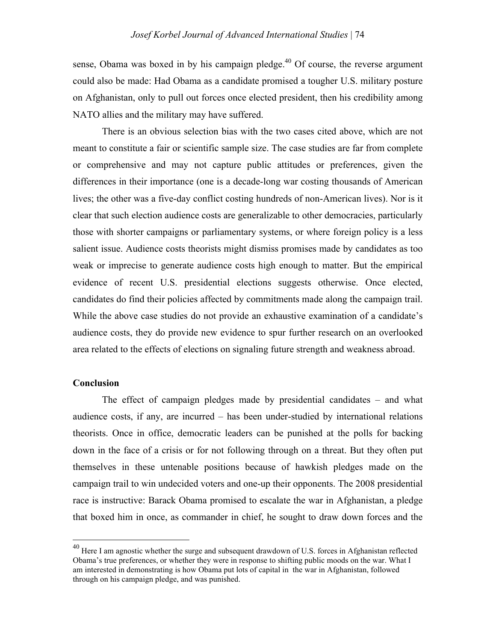sense. Obama was boxed in by his campaign pledge. $40$  Of course, the reverse argument could also be made: Had Obama as a candidate promised a tougher U.S. military posture on Afghanistan, only to pull out forces once elected president, then his credibility among NATO allies and the military may have suffered.

There is an obvious selection bias with the two cases cited above, which are not meant to constitute a fair or scientific sample size. The case studies are far from complete or comprehensive and may not capture public attitudes or preferences, given the differences in their importance (one is a decade-long war costing thousands of American lives; the other was a five-day conflict costing hundreds of non-American lives). Nor is it clear that such election audience costs are generalizable to other democracies, particularly those with shorter campaigns or parliamentary systems, or where foreign policy is a less salient issue. Audience costs theorists might dismiss promises made by candidates as too weak or imprecise to generate audience costs high enough to matter. But the empirical evidence of recent U.S. presidential elections suggests otherwise. Once elected, candidates do find their policies affected by commitments made along the campaign trail. While the above case studies do not provide an exhaustive examination of a candidate's audience costs, they do provide new evidence to spur further research on an overlooked area related to the effects of elections on signaling future strength and weakness abroad.

#### **Conclusion**

The effect of campaign pledges made by presidential candidates  $-$  and what audience costs, if any, are incurred – has been under-studied by international relations theorists. Once in office, democratic leaders can be punished at the polls for backing down in the face of a crisis or for not following through on a threat. But they often put themselves in these untenable positions because of hawkish pledges made on the campaign trail to win undecided voters and one-up their opponents. The 2008 presidential race is instructive: Barack Obama promised to escalate the war in Afghanistan, a pledge that boxed him in once, as commander in chief, he sought to draw down forces and the

 <sup>40</sup> Here I am agnostic whether the surge and subsequent drawdown of U.S. forces in Afghanistan reflected Obama's true preferences, or whether they were in response to shifting public moods on the war. What I am interested in demonstrating is how Obama put lots of capital in the war in Afghanistan, followed through on his campaign pledge, and was punished.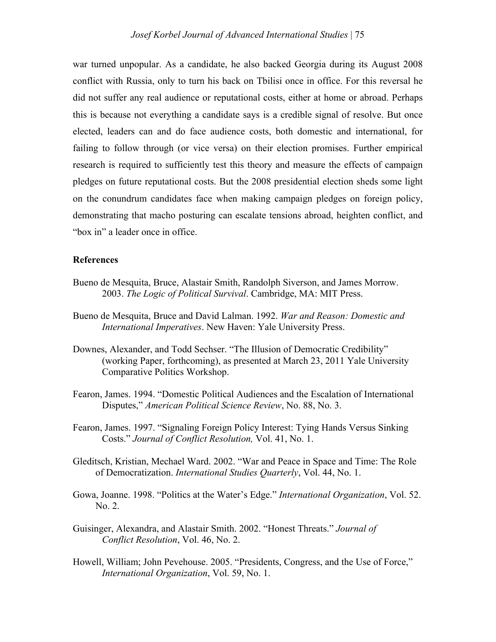war turned unpopular. As a candidate, he also backed Georgia during its August 2008 conflict with Russia, only to turn his back on Tbilisi once in office. For this reversal he did not suffer any real audience or reputational costs, either at home or abroad. Perhaps this is because not everything a candidate says is a credible signal of resolve. But once elected, leaders can and do face audience costs, both domestic and international, for failing to follow through (or vice versa) on their election promises. Further empirical research is required to sufficiently test this theory and measure the effects of campaign pledges on future reputational costs. But the 2008 presidential election sheds some light on the conundrum candidates face when making campaign pledges on foreign policy, demonstrating that macho posturing can escalate tensions abroad, heighten conflict, and "box in" a leader once in office.

#### **References**

- Bueno de Mesquita, Bruce, Alastair Smith, Randolph Siverson, and James Morrow. 2003. *The Logic of Political Survival*. Cambridge, MA: MIT Press.
- Bueno de Mesquita, Bruce and David Lalman. 1992. *War and Reason: Domestic and International Imperatives*. New Haven: Yale University Press.
- Downes, Alexander, and Todd Sechser. "The Illusion of Democratic Credibility" (working Paper, forthcoming), as presented at March 23, 2011 Yale University Comparative Politics Workshop.
- Fearon, James. 1994. "Domestic Political Audiences and the Escalation of International Disputes," *American Political Science Review*, No. 88, No. 3.
- Fearon, James. 1997. "Signaling Foreign Policy Interest: Tying Hands Versus Sinking Costs." *Journal of Conflict Resolution,* Vol. 41, No. 1.
- Gleditsch, Kristian, Mechael Ward. 2002. "War and Peace in Space and Time: The Role of Democratization. *International Studies Quarterly*, Vol. 44, No. 1.
- Gowa, Joanne. 1998. "Politics at the Water's Edge." *International Organization*, Vol. 52. No. 2.
- Guisinger, Alexandra, and Alastair Smith. 2002. "Honest Threats." *Journal of Conflict Resolution*, Vol. 46, No. 2.
- Howell, William; John Pevehouse. 2005. "Presidents, Congress, and the Use of Force," *International Organization*, Vol. 59, No. 1.